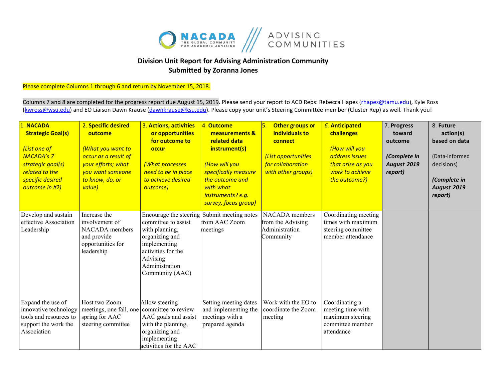

## **Division Unit Report for Advising Administration Community Submitted by Zoranna Jones**

Please complete Columns 1 through 6 and return by November 15, 2018.

Columns 7 and 8 are completed for the progress report due August 15, 2019. Please send your report to ACD Reps: Rebecca Hapes (*rhapes@tamu.edu*), Kyle Ross [\(kwross@wsu.edu\)](mailto:kwross@wsu.edu) and EO Liaison Dawn Krause (dawnkrause@ksu.edu). Please copy your unit's Steering Committee member (Cluster Rep) as well. Thank you!

| 1. NACADA<br><b>Strategic Goal(s)</b><br>(List one of<br><b>NACADA's 7</b><br>strategic goal(s)<br>related to the<br>specific desired<br>outcome in #2) | 2. Specific desired<br>outcome<br>(What you want to<br>occur as a result of<br>your efforts; what<br>you want someone<br>to know, do, or<br>value) | 3. Actions, activities<br>or opportunities<br>for outcome to<br>occur<br>(What processes<br>need to be in place<br>to achieve desired<br>outcome)                        | 4. Outcome<br>measurements &<br>related data<br>instrument(s)<br>(How will you<br>specifically measure<br>the outcome and<br>with what<br>instruments? e.g.<br>survey, focus group) | 5.<br>Other groups or<br>individuals to<br>connect<br><b>List opportunities</b><br>for collaboration<br>with other groups) | <b>6. Anticipated</b><br>challenges<br>(How will you<br>address issues<br>that arise as you<br>work to achieve<br>the outcome?) | 7. Progress<br>toward<br>outcome<br>(Complete in<br><b>August 2019</b><br>report) | 8. Future<br>action(s)<br>based on data<br>(Data-informed<br>decisions)<br>(Complete in<br><b>August 2019</b><br>report) |
|---------------------------------------------------------------------------------------------------------------------------------------------------------|----------------------------------------------------------------------------------------------------------------------------------------------------|--------------------------------------------------------------------------------------------------------------------------------------------------------------------------|-------------------------------------------------------------------------------------------------------------------------------------------------------------------------------------|----------------------------------------------------------------------------------------------------------------------------|---------------------------------------------------------------------------------------------------------------------------------|-----------------------------------------------------------------------------------|--------------------------------------------------------------------------------------------------------------------------|
| Develop and sustain<br>effective Association<br>Leadership                                                                                              | Increase the<br>involvement of<br>NACADA members<br>and provide<br>opportunities for<br>leadership                                                 | Encourage the steering<br>committee to assist<br>with planning,<br>organizing and<br>implementing<br>activities for the<br>Advising<br>Administration<br>Community (AAC) | Submit meeting notes<br>from AAC Zoom<br>meetings                                                                                                                                   | NACADA members<br>from the Advising<br>Administration<br>Community                                                         | Coordinating meeting<br>times with maximum<br>steering committee<br>member attendance                                           |                                                                                   |                                                                                                                          |
| Expand the use of<br>innovative technology<br>tools and resources to<br>support the work the<br>Association                                             | Host two Zoom<br>meetings, one fall, one<br>spring for AAC<br>steering committee                                                                   | Allow steering<br>committee to review<br>AAC goals and assist<br>with the planning,<br>organizing and<br>implementing<br>activities for the AAC                          | Setting meeting dates<br>and implementing the<br>meetings with a<br>prepared agenda                                                                                                 | Work with the EO to<br>coordinate the Zoom<br>meeting                                                                      | Coordinating a<br>meeting time with<br>maximum steering<br>committee member<br>attendance                                       |                                                                                   |                                                                                                                          |